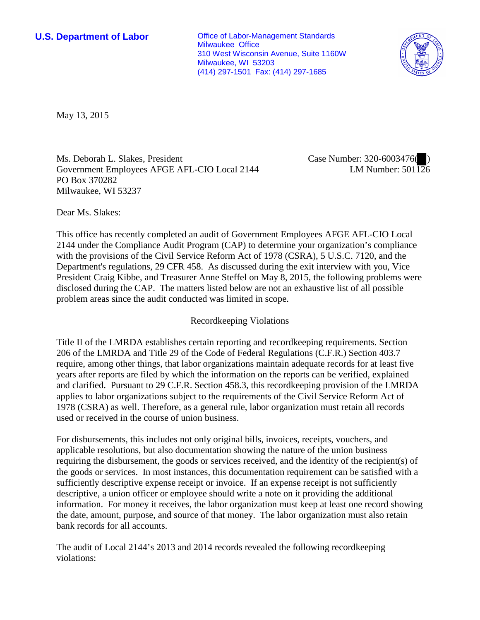**U.S. Department of Labor Conservative Conservative Conservative Conservative Conservative Conservative Conservative Conservative Conservative Conservative Conservative Conservative Conservative Conservative Conservative** Milwaukee Office 310 West Wisconsin Avenue, Suite 1160W Milwaukee, WI 53203 (414) 297-1501 Fax: (414) 297-1685



May 13, 2015

Ms. Deborah L. Slakes, President Government Employees AFGE AFL-CIO Local 2144 PO Box 370282 Milwaukee, WI 53237

Case Number: 320-6003476( ) LM Number:  $501\overline{126}$ 

Dear Ms. Slakes:

This office has recently completed an audit of Government Employees AFGE AFL-CIO Local 2144 under the Compliance Audit Program (CAP) to determine your organization's compliance with the provisions of the Civil Service Reform Act of 1978 (CSRA), 5 U.S.C. 7120, and the Department's regulations, 29 CFR 458. As discussed during the exit interview with you, Vice President Craig Kibbe, and Treasurer Anne Steffel on May 8, 2015, the following problems were disclosed during the CAP. The matters listed below are not an exhaustive list of all possible problem areas since the audit conducted was limited in scope.

# Recordkeeping Violations

Title II of the LMRDA establishes certain reporting and recordkeeping requirements. Section 206 of the LMRDA and Title 29 of the Code of Federal Regulations (C.F.R.) Section 403.7 require, among other things, that labor organizations maintain adequate records for at least five years after reports are filed by which the information on the reports can be verified, explained and clarified. Pursuant to 29 C.F.R. Section 458.3, this recordkeeping provision of the LMRDA applies to labor organizations subject to the requirements of the Civil Service Reform Act of 1978 (CSRA) as well. Therefore, as a general rule, labor organization must retain all records used or received in the course of union business.

For disbursements, this includes not only original bills, invoices, receipts, vouchers, and applicable resolutions, but also documentation showing the nature of the union business requiring the disbursement, the goods or services received, and the identity of the recipient(s) of the goods or services. In most instances, this documentation requirement can be satisfied with a sufficiently descriptive expense receipt or invoice. If an expense receipt is not sufficiently descriptive, a union officer or employee should write a note on it providing the additional information. For money it receives, the labor organization must keep at least one record showing the date, amount, purpose, and source of that money. The labor organization must also retain bank records for all accounts.

The audit of Local 2144's 2013 and 2014 records revealed the following recordkeeping violations: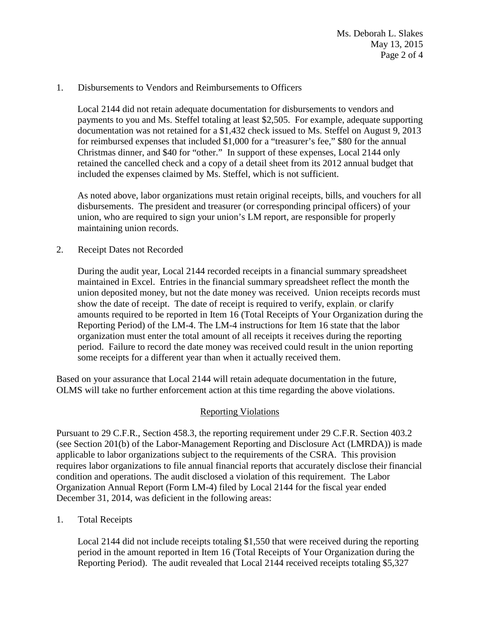### 1. Disbursements to Vendors and Reimbursements to Officers

Local 2144 did not retain adequate documentation for disbursements to vendors and payments to you and Ms. Steffel totaling at least \$2,505. For example, adequate supporting documentation was not retained for a \$1,432 check issued to Ms. Steffel on August 9, 2013 for reimbursed expenses that included \$1,000 for a "treasurer's fee," \$80 for the annual Christmas dinner, and \$40 for "other." In support of these expenses, Local 2144 only retained the cancelled check and a copy of a detail sheet from its 2012 annual budget that included the expenses claimed by Ms. Steffel, which is not sufficient.

As noted above, labor organizations must retain original receipts, bills, and vouchers for all disbursements. The president and treasurer (or corresponding principal officers) of your union, who are required to sign your union's LM report, are responsible for properly maintaining union records.

2. Receipt Dates not Recorded

During the audit year, Local 2144 recorded receipts in a financial summary spreadsheet maintained in Excel. Entries in the financial summary spreadsheet reflect the month the union deposited money, but not the date money was received. Union receipts records must show the date of receipt. The date of receipt is required to verify, explain, or clarify amounts required to be reported in Item 16 (Total Receipts of Your Organization during the Reporting Period) of the LM-4. The LM-4 instructions for Item 16 state that the labor organization must enter the total amount of all receipts it receives during the reporting period. Failure to record the date money was received could result in the union reporting some receipts for a different year than when it actually received them.

Based on your assurance that Local 2144 will retain adequate documentation in the future, OLMS will take no further enforcement action at this time regarding the above violations.

# Reporting Violations

Pursuant to 29 C.F.R., Section 458.3, the reporting requirement under 29 C.F.R. Section 403.2 (see Section 201(b) of the Labor-Management Reporting and Disclosure Act (LMRDA)) is made applicable to labor organizations subject to the requirements of the CSRA. This provision requires labor organizations to file annual financial reports that accurately disclose their financial condition and operations. The audit disclosed a violation of this requirement. The Labor Organization Annual Report (Form LM-4) filed by Local 2144 for the fiscal year ended December 31, 2014, was deficient in the following areas:

1. Total Receipts

Local 2144 did not include receipts totaling \$1,550 that were received during the reporting period in the amount reported in Item 16 (Total Receipts of Your Organization during the Reporting Period). The audit revealed that Local 2144 received receipts totaling \$5,327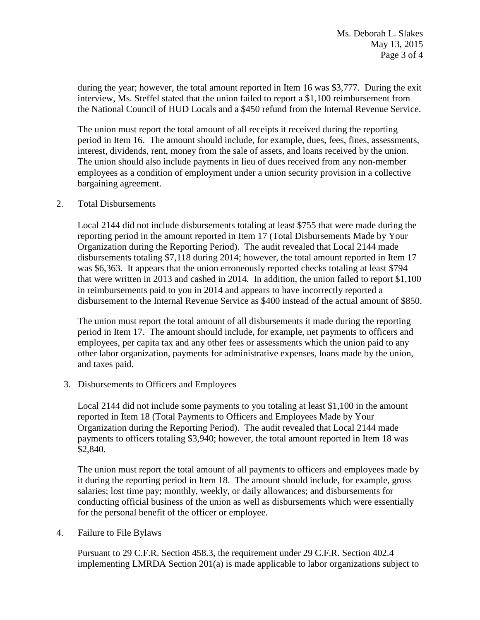during the year; however, the total amount reported in Item 16 was \$3,777. During the exit interview, Ms. Steffel stated that the union failed to report a \$1,100 reimbursement from the National Council of HUD Locals and a \$450 refund from the Internal Revenue Service.

The union must report the total amount of all receipts it received during the reporting period in Item 16. The amount should include, for example, dues, fees, fines, assessments, interest, dividends, rent, money from the sale of assets, and loans received by the union. The union should also include payments in lieu of dues received from any non-member employees as a condition of employment under a union security provision in a collective bargaining agreement.

### 2. Total Disbursements

Local 2144 did not include disbursements totaling at least \$755 that were made during the reporting period in the amount reported in Item 17 (Total Disbursements Made by Your Organization during the Reporting Period). The audit revealed that Local 2144 made disbursements totaling \$7,118 during 2014; however, the total amount reported in Item 17 was \$6,363. It appears that the union erroneously reported checks totaling at least \$794 that were written in 2013 and cashed in 2014. In addition, the union failed to report \$1,100 in reimbursements paid to you in 2014 and appears to have incorrectly reported a disbursement to the Internal Revenue Service as \$400 instead of the actual amount of \$850.

The union must report the total amount of all disbursements it made during the reporting period in Item 17. The amount should include, for example, net payments to officers and employees, per capita tax and any other fees or assessments which the union paid to any other labor organization, payments for administrative expenses, loans made by the union, and taxes paid.

3. Disbursements to Officers and Employees

Local 2144 did not include some payments to you totaling at least \$1,100 in the amount reported in Item 18 (Total Payments to Officers and Employees Made by Your Organization during the Reporting Period). The audit revealed that Local 2144 made payments to officers totaling \$3,940; however, the total amount reported in Item 18 was \$2,840.

The union must report the total amount of all payments to officers and employees made by it during the reporting period in Item 18. The amount should include, for example, gross salaries; lost time pay; monthly, weekly, or daily allowances; and disbursements for conducting official business of the union as well as disbursements which were essentially for the personal benefit of the officer or employee.

4. Failure to File Bylaws

Pursuant to 29 C.F.R. Section 458.3, the requirement under 29 C.F.R. Section 402.4 implementing LMRDA Section 201(a) is made applicable to labor organizations subject to